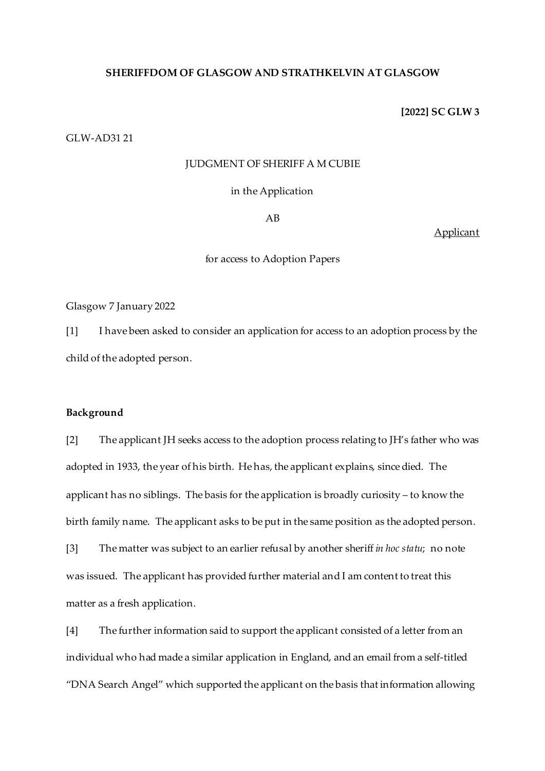### **SHERIFFDOM OF GLASGOW AND STRATHKELVIN AT GLASGOW**

### **[2022] SC GLW 3**

GLW-AD31 21

### JUDGMENT OF SHERIFF A M CUBIE

in the Application

AB

Applicant

for access to Adoption Papers

Glasgow 7 January 2022

[1] I have been asked to consider an application for access to an adoption process by the child of the adopted person.

### **Background**

[2] The applicant JH seeks access to the adoption process relating to JH's father who was adopted in 1933, the year of his birth. He has, the applicant explains, since died. The applicant has no siblings. The basis for the application is broadly curiosity – to know the birth family name. The applicant asks to be put in the same position as the adopted person.

[3] The matter was subject to an earlier refusal by another sheriff *in hoc statu*; no note was issued. The applicant has provided further material and I am content to treat this matter as a fresh application.

[4] The further information said to support the applicant consisted of a letter from an individual who had made a similar application in England, and an email from a self-titled "DNA Search Angel" which supported the applicant on the basis that information allowing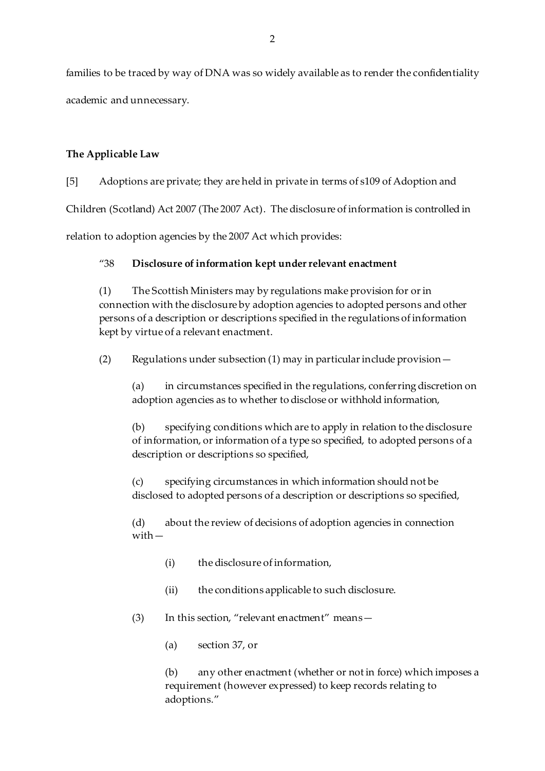families to be traced by way of DNA was so widely available as to render the confidentiality academic and unnecessary.

# **The Applicable Law**

[5] Adoptions are private; they are held in private in terms of s109 of Adoption and

Children (Scotland) Act 2007 (The 2007 Act). The disclosure of information is controlled in

relation to adoption agencies by the 2007 Act which provides:

## "38 **Disclosure of information kept under relevant enactment**

(1) The Scottish Ministers may by regulations make provision for or in connection with the disclosure by adoption agencies to adopted persons and other persons of a description or descriptions specified in the regulations of information kept by virtue of a relevant enactment.

(2) Regulations under subsection (1) may in particular include provision—

(a) in circumstances specified in the regulations, conferring discretion on adoption agencies as to whether to disclose or withhold information,

(b) specifying conditions which are to apply in relation to the disclosure of information, or information of a type so specified, to adopted persons of a description or descriptions so specified,

(c) specifying circumstances in which information should not be disclosed to adopted persons of a description or descriptions so specified,

(d) about the review of decisions of adoption agencies in connection with—

- (i) the disclosure of information,
- (ii) the conditions applicable to such disclosure.
- (3) In this section, "relevant enactment" means—
	- (a) section 37, or

(b) any other enactment (whether or not in force) which imposes a requirement (however expressed) to keep records relating to adoptions."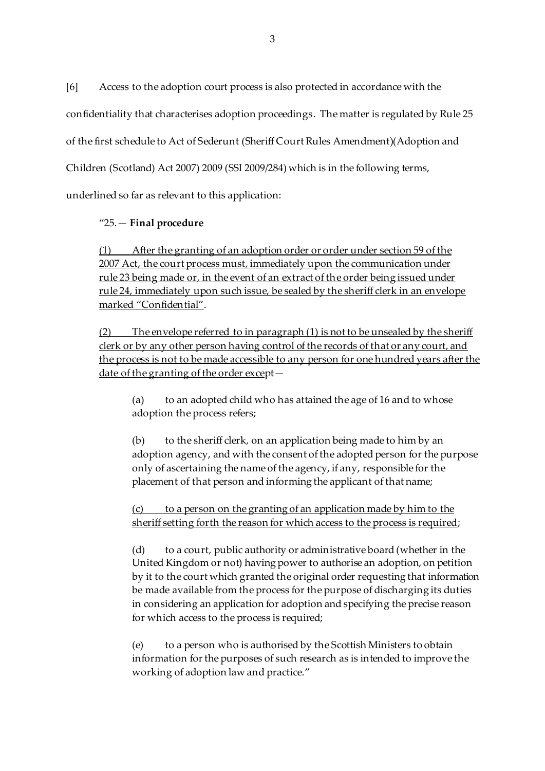[6] Access to the adoption court process is also protected in accordance with the

confidentiality that characterises adoption proceedings. The matter is regulated by Rule 25

of the first schedule to Act of Sederunt (Sheriff Court Rules Amendment)(Adoption and

Children (Scotland) Act 2007) 2009 (SSI 2009/284) which is in the following terms,

underlined so far as relevant to this application:

## "25.— **Final procedure**

(1) After the granting of an adoption order or order under section 59 of the 2007 Act, the court process must, immediately upon the communication under rule 23 being made or, in the event of an extract of the order being issued under rule 24, immediately upon such issue, be sealed by the sheriff clerk in an envelope marked "Confidential".

(2) The envelope referred to in paragraph (1) is not to be unsealed by the sheriff clerk or by any other person having control of the records of that or any court, and the process is not to be made accessible to any person for one hundred years after the date of the granting of the order except—

(a) to an adopted child who has attained the age of 16 and to whose adoption the process refers;

(b) to the sheriff clerk, on an application being made to him by an adoption agency, and with the consent of the adopted person for the purpose only of ascertaining the name of the agency, if any, responsible for the placement of that person and informing the applicant of that name;

## $(c)$  to a person on the granting of an application made by him to the sheriff setting forth the reason for which access to the process is required;

(d) to a court, public authority or administrative board (whether in the United Kingdom or not) having power to authorise an adoption, on petition by it to the court which granted the original order requesting that information be made available from the process for the purpose of discharging its duties in considering an application for adoption and specifying the precise reason for which access to the process is required;

(e) to a person who is authorised by the Scottish Ministers to obtain information for the purposes of such research as is intended to improve the working of adoption law and practice."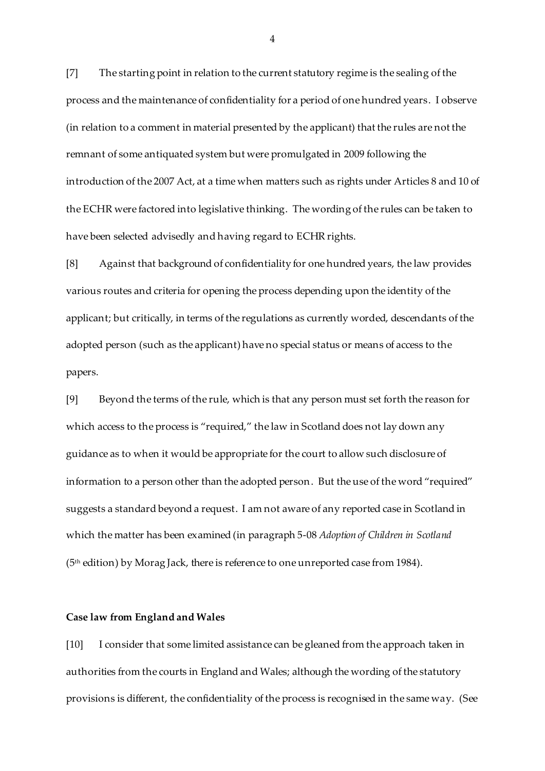[7] The starting point in relation to the current statutory regime is the sealing of the process and the maintenance of confidentiality for a period of one hundred years. I observe (in relation to a comment in material presented by the applicant) that the rules are not the remnant of some antiquated system but were promulgated in 2009 following the introduction of the 2007 Act, at a time when matters such as rights under Articles 8 and 10 of the ECHR were factored into legislative thinking. The wording of the rules can be taken to have been selected advisedly and having regard to ECHR rights.

[8] Against that background of confidentiality for one hundred years, the law provides various routes and criteria for opening the process depending upon the identity of the applicant; but critically, in terms of the regulations as currently worded, descendants of the adopted person (such as the applicant) have no special status or means of access to the papers.

[9] Beyond the terms of the rule, which is that any person must set forth the reason for which access to the process is "required," the law in Scotland does not lay down any guidance as to when it would be appropriate for the court to allow such disclosure of information to a person other than the adopted person. But the use of the word "required" suggests a standard beyond a request. I am not aware of any reported case in Scotland in which the matter has been examined (in paragraph 5-08 *Adoption of Children in Scotland* (5th edition) by Morag Jack, there is reference to one unreported case from 1984).

#### **Case law from England and Wales**

[10] I consider that some limited assistance can be gleaned from the approach taken in authorities from the courts in England and Wales; although the wording of the statutory provisions is different, the confidentiality of the process is recognised in the same way. (See

4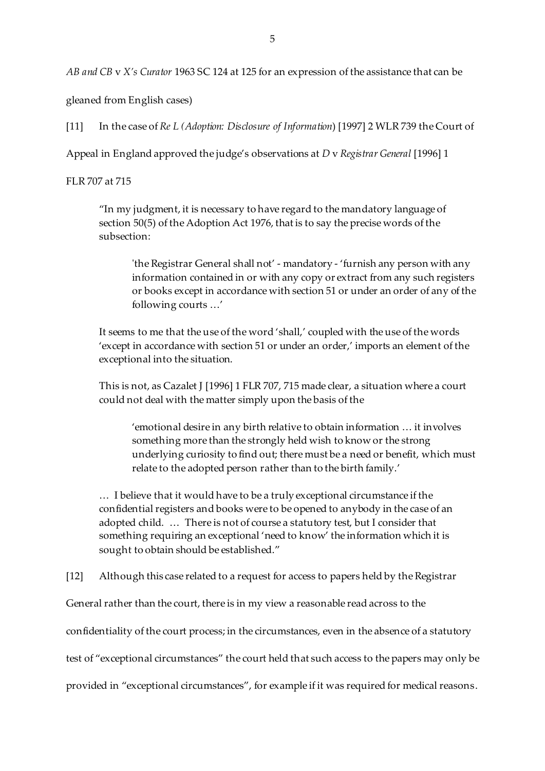*AB and CB* v *X's Curator* 1963 SC 124 at 125 for an expression of the assistance that can be

gleaned from English cases)

[11] In the case of *Re L (Adoption: Disclosure of Information*) [1997] 2 WLR 739 the Court of

Appeal in England approved the judge's observations at *D* v *Registrar General* [1996] 1

FLR 707 at 715

"In my judgment, it is necessary to have regard to the mandatory language of section 50(5) of the Adoption Act 1976, that is to say the precise words of the subsection:

'the Registrar General shall not' - mandatory - 'furnish any person with any information contained in or with any copy or extract from any such registers or books except in accordance with section 51 or under an order of any of the following courts …'

It seems to me that the use of the word 'shall,' coupled with the use of the words 'except in accordance with section 51 or under an order,' imports an element of the exceptional into the situation.

This is not, as Cazalet J [1996] 1 FLR 707, 715 made clear, a situation where a court could not deal with the matter simply upon the basis of the

'emotional desire in any birth relative to obtain information … it involves something more than the strongly held wish to know or the strong underlying curiosity to find out; there must be a need or benefit, which must relate to the adopted person rather than to the birth family.'

… I believe that it would have to be a truly exceptional circumstance if the confidential registers and books were to be opened to anybody in the case of an adopted child. … There is not of course a statutory test, but I consider that something requiring an exceptional 'need to know' the information which it is sought to obtain should be established."

[12] Although this case related to a request for access to papers held by the Registrar

General rather than the court, there is in my view a reasonable read across to the

confidentiality of the court process; in the circumstances, even in the absence of a statutory

test of "exceptional circumstances" the court held that such access to the papers may only be

provided in "exceptional circumstances", for example if it was required for medical reasons.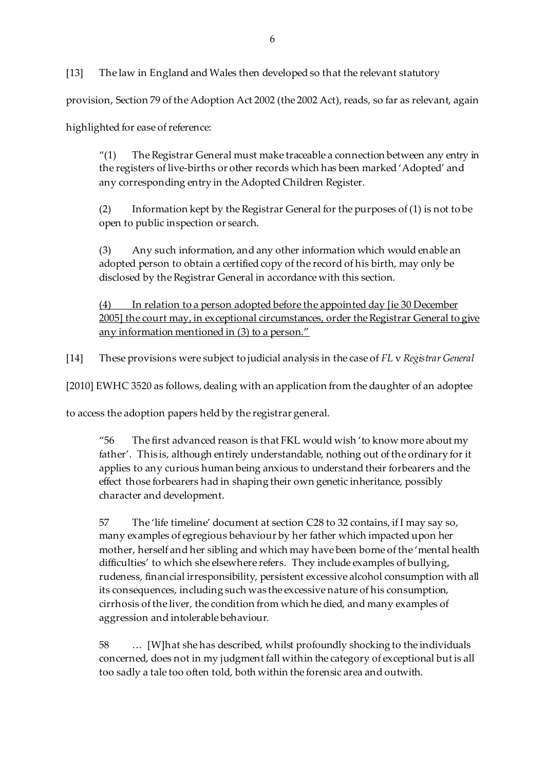[13] The law in England and Wales then developed so that the relevant statutory

provision, Section 79 of the Adoption Act 2002 (the 2002 Act), reads, so far as relevant, again

highlighted for ease of reference:

 $''(1)$  The Registrar General must make traceable a connection between any entry in the registers of live-births or other records which has been marked 'Adopted' and any corresponding entry in the Adopted Children Register.

(2) Information kept by the Registrar General for the purposes of (1) is not to be open to public inspection or search.

(3) Any such information, and any other information which would enable an adopted person to obtain a certified copy of the record of his birth, may only be disclosed by the Registrar General in accordance with this section.

(4) In relation to a person adopted before the appointed day [ie 30 December 2005] the court may, in exceptional circumstances, order the Registrar General to give any information mentioned in (3) to a person."

[14] These provisions were subject to judicial analysis in the case of *FL* v *Registrar General*

[2010] EWHC 3520 as follows, dealing with an application from the daughter of an adoptee

to access the adoption papers held by the registrar general.

"56 The first advanced reason is that FKL would wish 'to know more about my father'. This is, although entirely understandable, nothing out of the ordinary for it applies to any curious human being anxious to understand their forbearers and the effect those forbearers had in shaping their own genetic inheritance, possibly character and development.

57 The 'life timeline' document at section C28 to 32 contains, if I may say so, many examples of egregious behaviour by her father which impacted upon her mother, herself and her sibling and which may have been borne of the 'mental health difficulties' to which she elsewhere refers. They include examples of bullying, rudeness, financial irresponsibility, persistent excessive alcohol consumption with all its consequences, including such was the excessive nature of his consumption, cirrhosis of the liver, the condition from which he died, and many examples of aggression and intolerable behaviour.

58 … [W]hat she has described, whilst profoundly shocking to the individuals concerned, does not in my judgment fall within the category of exceptional but is all too sadly a tale too often told, both within the forensic area and outwith.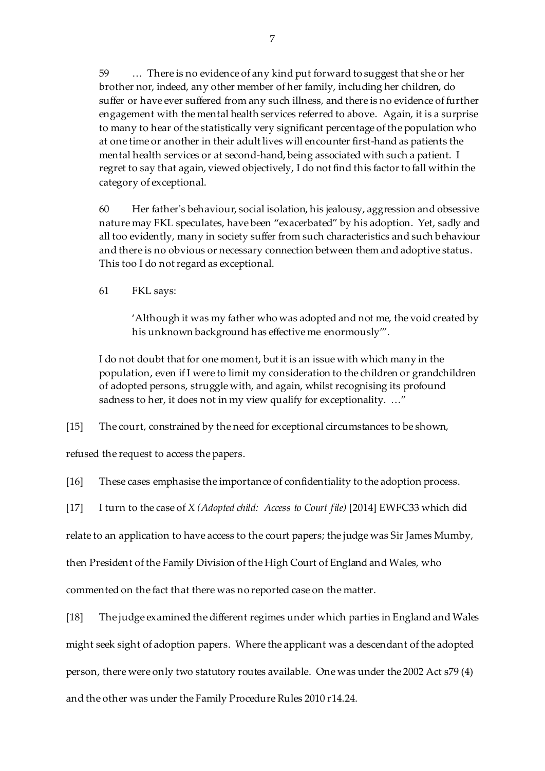59 … There is no evidence of any kind put forward to suggest that she or her brother nor, indeed, any other member of her family, including her children, do suffer or have ever suffered from any such illness, and there is no evidence of further engagement with the mental health services referred to above. Again, it is a surprise to many to hear of the statistically very significant percentage of the population who at one time or another in their adult lives will encounter first-hand as patients the mental health services or at second-hand, being associated with such a patient. I regret to say that again, viewed objectively, I do not find this factor to fall within the category of exceptional.

60 Her father's behaviour, social isolation, his jealousy, aggression and obsessive nature may FKL speculates, have been "exacerbated" by his adoption. Yet, sadly and all too evidently, many in society suffer from such characteristics and such behaviour and there is no obvious or necessary connection between them and adoptive status. This too I do not regard as exceptional.

61 FKL says:

'Although it was my father who was adopted and not me, the void created by his unknown background has effective me enormously'".

I do not doubt that for one moment, but it is an issue with which many in the population, even if I were to limit my consideration to the children or grandchildren of adopted persons, struggle with, and again, whilst recognising its profound sadness to her, it does not in my view qualify for exceptionality. ..."

[15] The court, constrained by the need for exceptional circumstances to be shown,

refused the request to access the papers.

[16] These cases emphasise the importance of confidentiality to the adoption process.

[17] I turn to the case of *X (Adopted child: Access to Court file)* [2014] EWFC33 which did

relate to an application to have access to the court papers; the judge was Sir James Mumby,

then President of the Family Division of the High Court of England and Wales, who

commented on the fact that there was no reported case on the matter.

[18] The judge examined the different regimes under which parties in England and Wales

might seek sight of adoption papers. Where the applicant was a descendant of the adopted

person, there were only two statutory routes available. One was under the 2002 Act s79 (4)

and the other was under the Family Procedure Rules 2010 r14.24.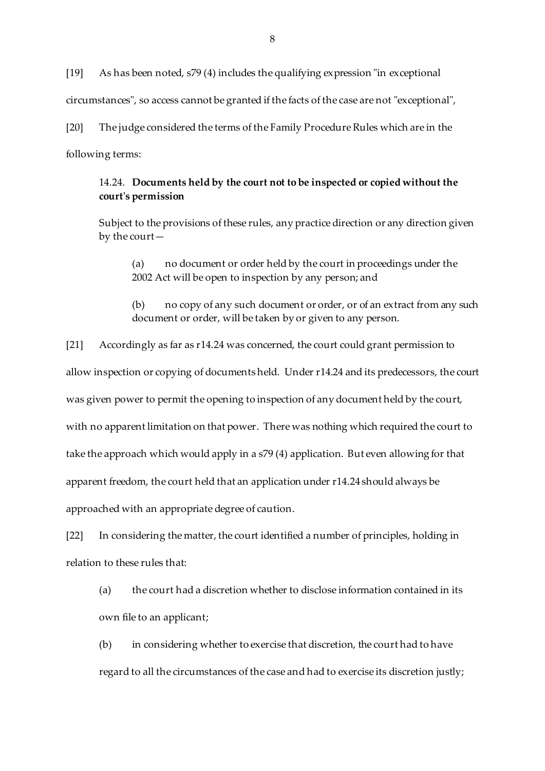[19] As has been noted, s79 (4) includes the qualifying expression "in exceptional circumstances", so access cannot be granted if the facts of the case are not "exceptional", [20] The judge considered the terms of the Family Procedure Rules which are in the following terms:

### 14.24. **Documents held by the court not to be inspected or copied without the court's permission**

Subject to the provisions of these rules, any practice direction or any direction given by the court—

(a) no document or order held by the court in proceedings under the 2002 Act will be open to inspection by any person; and

(b) no copy of any such document or order, or of an extract from any such document or order, will be taken by or given to any person.

[21] Accordingly as far as r14.24 was concerned, the court could grant permission to allow inspection or copying of documents held. Under r14.24 and its predecessors, the court was given power to permit the opening to inspection of any document held by the court, with no apparent limitation on that power. There was nothing which required the court to take the approach which would apply in a s79 (4) application. But even allowing for that apparent freedom, the court held that an application under r14.24 should always be approached with an appropriate degree of caution.

[22] In considering the matter, the court identified a number of principles, holding in relation to these rules that:

(a) the court had a discretion whether to disclose information contained in its own file to an applicant;

(b) in considering whether to exercise that discretion, the court had to have regard to all the circumstances of the case and had to exercise its discretion justly;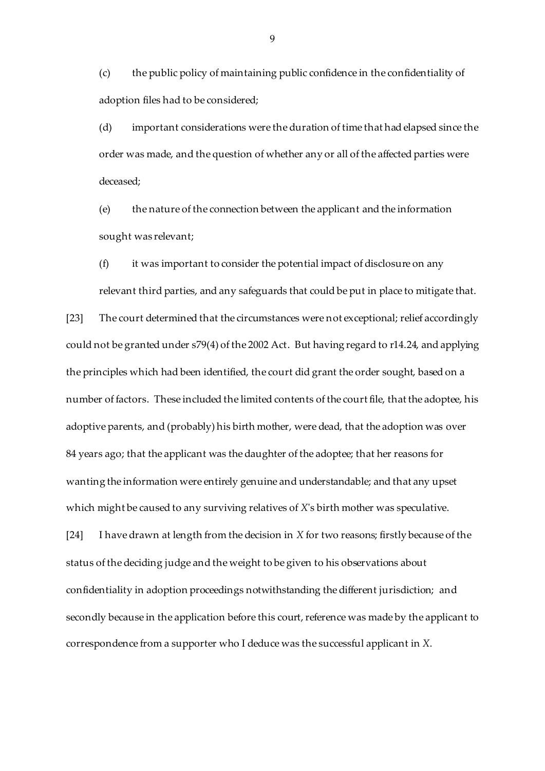(c) the public policy of maintaining public confidence in the confidentiality of adoption files had to be considered;

(d) important considerations were the duration of time that had elapsed since the order was made, and the question of whether any or all of the affected parties were deceased;

(e) the nature of the connection between the applicant and the information sought was relevant;

(f) it was important to consider the potential impact of disclosure on any relevant third parties, and any safeguards that could be put in place to mitigate that.

[23] The court determined that the circumstances were not exceptional; relief accordingly could not be granted under s79(4) of the 2002 Act. But having regard to r14.24, and applying the principles which had been identified, the court did grant the order sought, based on a number of factors. These included the limited contents of the court file, that the adoptee, his adoptive parents, and (probably) his birth mother, were dead, that the adoption was over 84 years ago; that the applicant was the daughter of the adoptee; that her reasons for wanting the information were entirely genuine and understandable; and that any upset which might be caused to any surviving relatives of *X*'s birth mother was speculative.

[24] I have drawn at length from the decision in *X* for two reasons; firstly because of the status of the deciding judge and the weight to be given to his observations about confidentiality in adoption proceedings notwithstanding the different jurisdiction; and secondly because in the application before this court, reference was made by the applicant to correspondence from a supporter who I deduce was the successful applicant in *X*.

9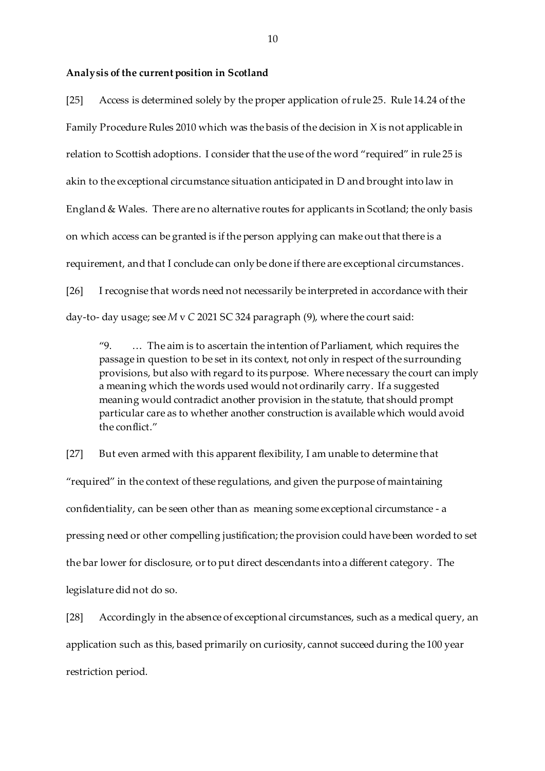#### **Analysis of the current position in Scotland**

[25] Access is determined solely by the proper application of rule 25. Rule 14.24 of the Family Procedure Rules 2010 which was the basis of the decision in X is not applicable in relation to Scottish adoptions. I consider that the use of the word "required" in rule 25 is akin to the exceptional circumstance situation anticipated in D and brought into law in England & Wales. There are no alternative routes for applicants in Scotland; the only basis on which access can be granted is if the person applying can make out that there is a requirement, and that I conclude can only be done if there are exceptional circumstances. [26] I recognise that words need not necessarily be interpreted in accordance with their day-to- day usage; see *M* v *C* 2021 SC 324 paragraph (9), where the court said:

"9. … The aim is to ascertain the intention of Parliament, which requires the passage in question to be set in its context, not only in respect of the surrounding provisions, but also with regard to its purpose. Where necessary the court can imply a meaning which the words used would not ordinarily carry. If a suggested meaning would contradict another provision in the statute, that should prompt particular care as to whether another construction is available which would avoid the conflict."

[27] But even armed with this apparent flexibility, I am unable to determine that "required" in the context of these regulations, and given the purpose of maintaining confidentiality, can be seen other than as meaning some exceptional circumstance - a pressing need or other compelling justification; the provision could have been worded to set the bar lower for disclosure, or to put direct descendants into a different category. The legislature did not do so.

[28] Accordingly in the absence of exceptional circumstances, such as a medical query, an application such as this, based primarily on curiosity, cannot succeed during the 100 year restriction period.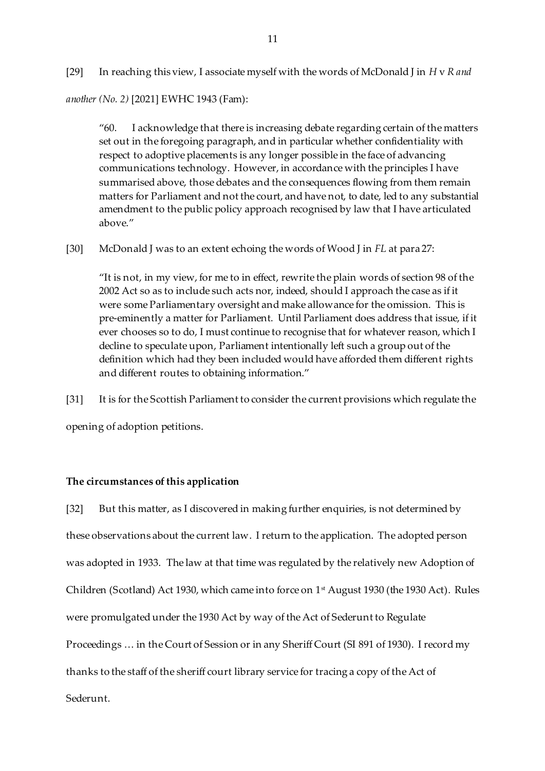[29] In reaching this view, I associate myself with the words of McDonald J in *H* v *R and* 

*another (No. 2)* [2021] EWHC 1943 (Fam):

"60. I acknowledge that there is increasing debate regarding certain of the matters set out in the foregoing paragraph, and in particular whether confidentiality with respect to adoptive placements is any longer possible in the face of advancing communications technology. However, in accordance with the principles I have summarised above, those debates and the consequences flowing from them remain matters for Parliament and not the court, and have not, to date, led to any substantial amendment to the public policy approach recognised by law that I have articulated above."

[30] McDonald J was to an extent echoing the words of Wood J in *FL* at para 27:

"It is not, in my view, for me to in effect, rewrite the plain words of section 98 of the 2002 Act so as to include such acts nor, indeed, should I approach the case as if it were some Parliamentary oversight and make allowance for the omission. This is pre-eminently a matter for Parliament. Until Parliament does address that issue, if it ever chooses so to do, I must continue to recognise that for whatever reason, which I decline to speculate upon, Parliament intentionally left such a group out of the definition which had they been included would have afforded them different rights and different routes to obtaining information."

[31] It is for the Scottish Parliament to consider the current provisions which regulate the opening of adoption petitions.

### **The circumstances of this application**

[32] But this matter, as I discovered in making further enquiries, is not determined by these observations about the current law. I return to the application. The adopted person was adopted in 1933. The law at that time was regulated by the relatively new Adoption of Children (Scotland) Act 1930, which came into force on 1<sup>st</sup> August 1930 (the 1930 Act). Rules were promulgated under the 1930 Act by way of the Act of Sederunt to Regulate Proceedings … in the Court of Session or in any Sheriff Court (SI 891 of 1930). I record my thanks to the staff of the sheriff court library service for tracing a copy of the Act of Sederunt.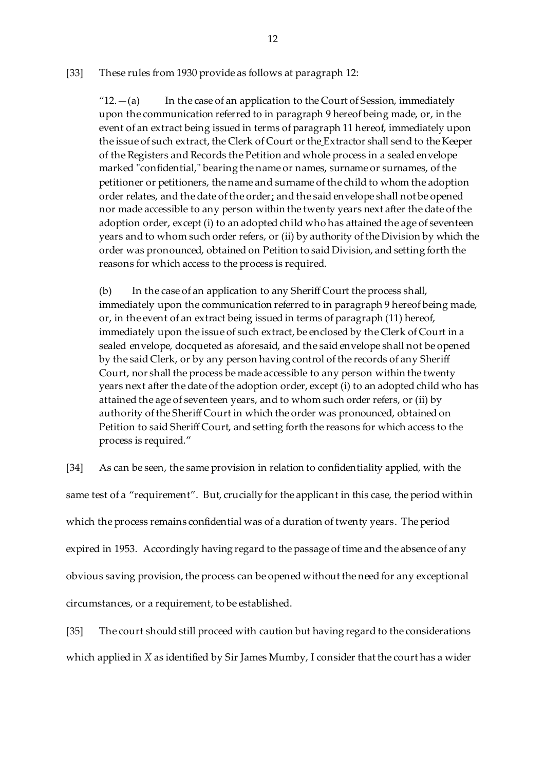### [33] These rules from 1930 provide as follows at paragraph 12:

" $12. - (a)$  In the case of an application to the Court of Session, immediately upon the communication referred to in paragraph 9 hereof being made, or, in the event of an extract being issued in terms of paragraph 11 hereof, immediately upon the issue of such extract, the Clerk of Court or the Extractor shall send to the Keeper of the Registers and Records the Petition and whole process in a sealed envelope marked "confidential," bearing the name or names, surname or surnames, of the petitioner or petitioners, the name and surname of the child to whom the adoption order relates, and the date of the order; and the said envelope shall not be opened nor made accessible to any person within the twenty years next after the date of the adoption order, except (i) to an adopted child who has attained the age of seventeen years and to whom such order refers, or (ii) by authority of the Division by which the order was pronounced, obtained on Petition to said Division, and setting forth the reasons for which access to the process is required.

(b) In the case of an application to any Sheriff Court the process shall, immediately upon the communication referred to in paragraph 9 hereof being made, or, in the event of an extract being issued in terms of paragraph (11) hereof, immediately upon the issue of such extract, be enclosed by the Clerk of Court in a sealed envelope, docqueted as aforesaid, and the said envelope shall not be opened by the said Clerk, or by any person having control of the records of any Sheriff Court, nor shall the process be made accessible to any person within the twenty years next after the date of the adoption order, except (i) to an adopted child who has attained the age of seventeen years, and to whom such order refers, or (ii) by authority of the Sheriff Court in which the order was pronounced, obtained on Petition to said Sheriff Court, and setting forth the reasons for which access to the process is required."

[34] As can be seen, the same provision in relation to confidentiality applied, with the same test of a "requirement". But, crucially for the applicant in this case, the period within which the process remains confidential was of a duration of twenty years. The period expired in 1953. Accordingly having regard to the passage of time and the absence of any obvious saving provision, the process can be opened without the need for any exceptional circumstances, or a requirement, to be established.

[35] The court should still proceed with caution but having regard to the considerations which applied in *X* as identified by Sir James Mumby, I consider that the court has a wider